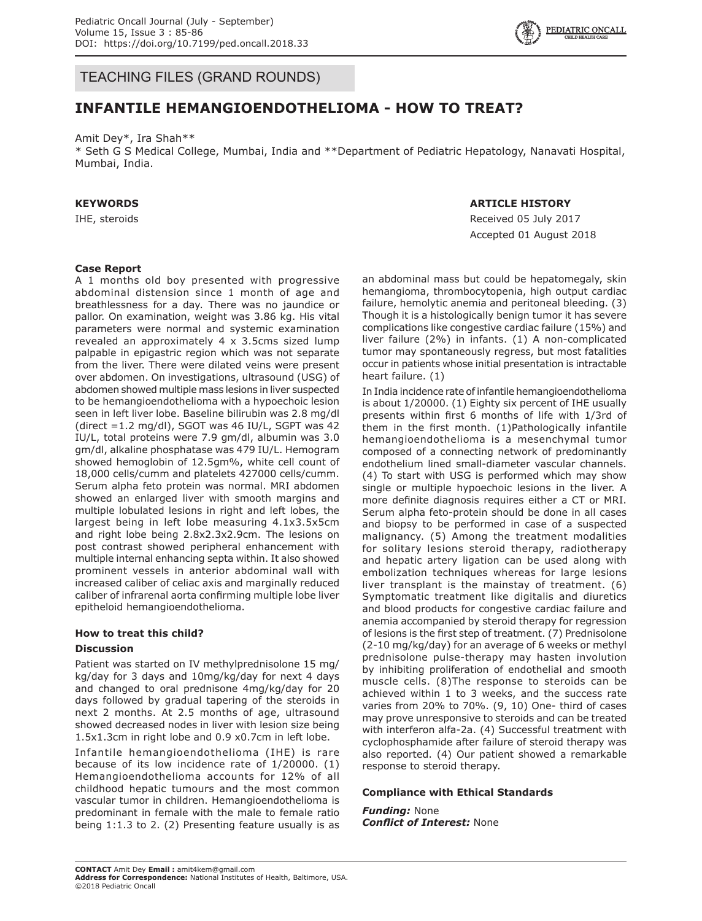

TEACHING FILES (GRAND ROUNDS)

# **INFANTILE HEMANGIOENDOTHELIOMA - HOW TO TREAT?**

Amit Dey\*, Ira Shah\*\*

\* Seth G S Medical College, Mumbai, India and \*\*Department of Pediatric Hepatology, Nanavati Hospital, Mumbai, India.

## **KEYWORDS**

IHE, steroids

### **ARTICLE HISTORY**

Received 05 July 2017 Accepted 01 August 2018

### **Case Report**

A 1 months old boy presented with progressive abdominal distension since 1 month of age and breathlessness for a day. There was no jaundice or pallor. On examination, weight was 3.86 kg. His vital parameters were normal and systemic examination revealed an approximately 4 x 3.5cms sized lump palpable in epigastric region which was not separate from the liver. There were dilated veins were present over abdomen. On investigations, ultrasound (USG) of abdomen showed multiple mass lesions in liver suspected to be hemangioendothelioma with a hypoechoic lesion seen in left liver lobe. Baseline bilirubin was 2.8 mg/dl (direct =1.2 mg/dl), SGOT was 46 IU/L, SGPT was 42 IU/L, total proteins were 7.9 gm/dl, albumin was 3.0 gm/dl, alkaline phosphatase was 479 IU/L. Hemogram showed hemoglobin of 12.5gm%, white cell count of 18,000 cells/cumm and platelets 427000 cells/cumm. Serum alpha feto protein was normal. MRI abdomen showed an enlarged liver with smooth margins and multiple lobulated lesions in right and left lobes, the largest being in left lobe measuring 4.1x3.5x5cm and right lobe being 2.8x2.3x2.9cm. The lesions on post contrast showed peripheral enhancement with multiple internal enhancing septa within. It also showed prominent vessels in anterior abdominal wall with increased caliber of celiac axis and marginally reduced caliber of infrarenal aorta confirming multiple lobe liver epitheloid hemangioendothelioma.

# **How to treat this child?**

### **Discussion**

Patient was started on IV methylprednisolone 15 mg/ kg/day for 3 days and 10mg/kg/day for next 4 days and changed to oral prednisone 4mg/kg/day for 20 days followed by gradual tapering of the steroids in next 2 months. At 2.5 months of age, ultrasound showed decreased nodes in liver with lesion size being 1.5x1.3cm in right lobe and 0.9 x0.7cm in left lobe.

Infantile hemangioendothelioma (IHE) is rare because of its low incidence rate of 1/20000. (1) Hemangioendothelioma accounts for 12% of all childhood hepatic tumours and the most common vascular tumor in children. Hemangioendothelioma is predominant in female with the male to female ratio being 1:1.3 to 2. (2) Presenting feature usually is as

an abdominal mass but could be hepatomegaly, skin hemangioma, thrombocytopenia, high output cardiac failure, hemolytic anemia and peritoneal bleeding. (3) Though it is a histologically benign tumor it has severe complications like congestive cardiac failure (15%) and liver failure (2%) in infants. (1) A non-complicated tumor may spontaneously regress, but most fatalities occur in patients whose initial presentation is intractable heart failure. (1)

In India incidence rate of infantile hemangioendothelioma is about 1/20000. (1) Eighty six percent of IHE usually presents within first 6 months of life with 1/3rd of them in the first month. (1)Pathologically infantile hemangioendothelioma is a mesenchymal tumor composed of a connecting network of predominantly endothelium lined small-diameter vascular channels. (4) To start with USG is performed which may show single or multiple hypoechoic lesions in the liver. A more definite diagnosis requires either a CT or MRI. Serum alpha feto-protein should be done in all cases and biopsy to be performed in case of a suspected malignancy. (5) Among the treatment modalities for solitary lesions steroid therapy, radiotherapy and hepatic artery ligation can be used along with embolization techniques whereas for large lesions liver transplant is the mainstay of treatment. (6) Symptomatic treatment like digitalis and diuretics and blood products for congestive cardiac failure and anemia accompanied by steroid therapy for regression of lesions is the first step of treatment. (7) Prednisolone (2-10 mg/kg/day) for an average of 6 weeks or methyl prednisolone pulse-therapy may hasten involution by inhibiting proliferation of endothelial and smooth muscle cells. (8)The response to steroids can be achieved within 1 to 3 weeks, and the success rate varies from 20% to 70%. (9, 10) One- third of cases may prove unresponsive to steroids and can be treated with interferon alfa-2a. (4) Successful treatment with cyclophosphamide after failure of steroid therapy was also reported. (4) Our patient showed a remarkable response to steroid therapy.

#### **Compliance with Ethical Standards**

*Funding:* None *Conflict of Interest:* None